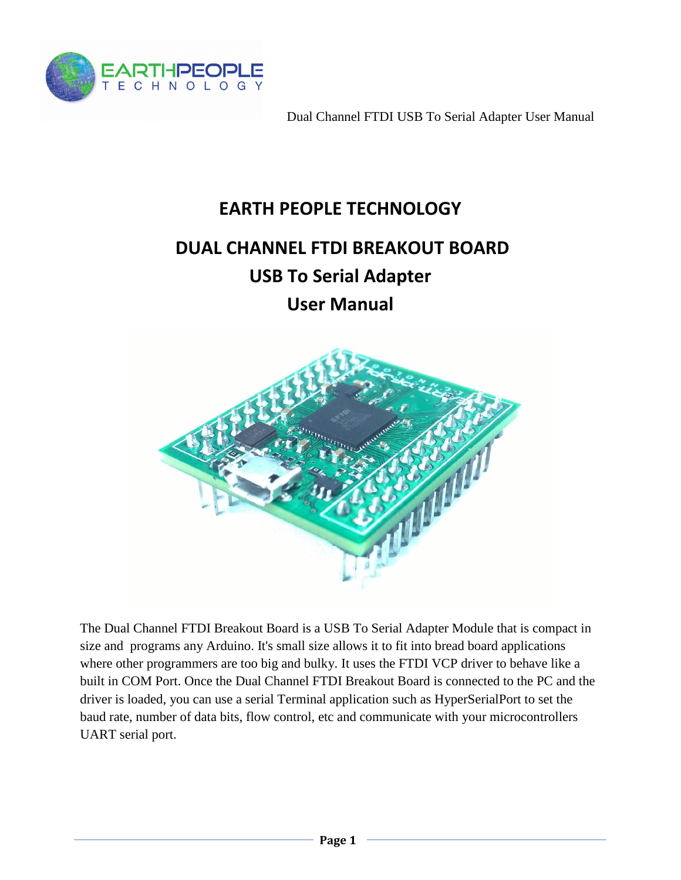

# **EARTH PEOPLE TECHNOLOGY**

# **DUAL CHANNEL FTDI BREAKOUT BOARD USB To Serial Adapter User Manual**



The Dual Channel FTDI Breakout Board is a USB To Serial Adapter Module that is compact in size and programs any Arduino. It's small size allows it to fit into bread board applications where other programmers are too big and bulky. It uses the FTDI VCP driver to behave like a built in COM Port. Once the Dual Channel FTDI Breakout Board is connected to the PC and the driver is loaded, you can use a serial Terminal application such as HyperSerialPort to set the baud rate, number of data bits, flow control, etc and communicate with your microcontrollers UART serial port.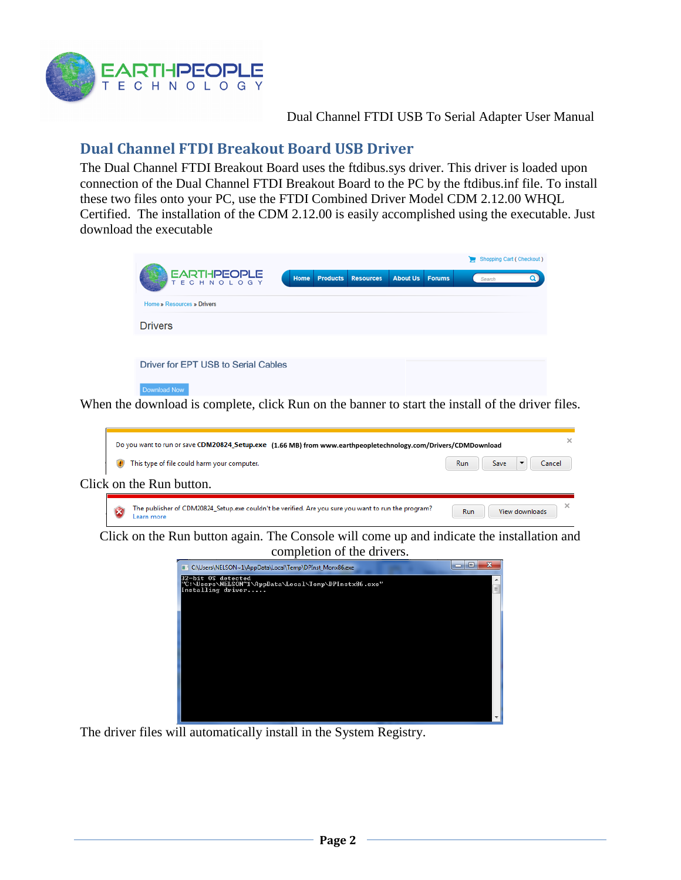

#### **Dual Channel FTDI Breakout Board USB Driver**

The Dual Channel FTDI Breakout Board uses the ftdibus.sys driver. This driver is loaded upon connection of the Dual Channel FTDI Breakout Board to the PC by the ftdibus.inf file. To install these two files onto your PC, use the FTDI Combined Driver Model CDM 2.12.00 WHQL Certified. The installation of the CDM 2.12.00 is easily accomplished using the executable. Just download the executable

|                                     |             |                           |                        | Shopping Cart (Checkout)<br>▬ |  |
|-------------------------------------|-------------|---------------------------|------------------------|-------------------------------|--|
| FARTHPEOPLE                         | <b>Home</b> | <b>Products Resources</b> | <b>About Us Forums</b> | Search                        |  |
| Home » Resources » Drivers          |             |                           |                        |                               |  |
| <b>Drivers</b>                      |             |                           |                        |                               |  |
|                                     |             |                           |                        |                               |  |
| Driver for EPT USB to Serial Cables |             |                           |                        |                               |  |
| Download Now                        |             |                           |                        |                               |  |

When the download is complete, click Run on the banner to start the install of the driver files.

| Do you want to run or save CDM20824_Setup.exe (1.66 MB) from www.earthpeopletechnology.com/Drivers/CDMDownload |                                                                                                                    |     |      |                |        | × |
|----------------------------------------------------------------------------------------------------------------|--------------------------------------------------------------------------------------------------------------------|-----|------|----------------|--------|---|
|                                                                                                                | This type of file could harm your computer.                                                                        | Run | Save |                | Cancel |   |
|                                                                                                                | Click on the Run button.                                                                                           |     |      |                |        |   |
| $\mathbf{z}$                                                                                                   | ? The publisher of CDM20824_Setup.exe couldn't be verified. Are you sure you want to run the program<br>Learn more | Run |      | View downloads |        | × |

Click on the Run button again. The Console will come up and indicate the installation and completion of the drivers.

| C:\Users\NELSON~1\AppData\Local\Temp\DPInst_Monx86.exe                                          | X<br>$\blacksquare$<br>▭ |
|-------------------------------------------------------------------------------------------------|--------------------------|
| 32-bit OS detected<br>"C:\Users\NELSON~1\AppData\Local\Temp\DPInstx86.exe"<br>Installing driver | Ξ                        |
|                                                                                                 |                          |
|                                                                                                 |                          |
|                                                                                                 |                          |
|                                                                                                 |                          |
|                                                                                                 |                          |
|                                                                                                 |                          |

The driver files will automatically install in the System Registry.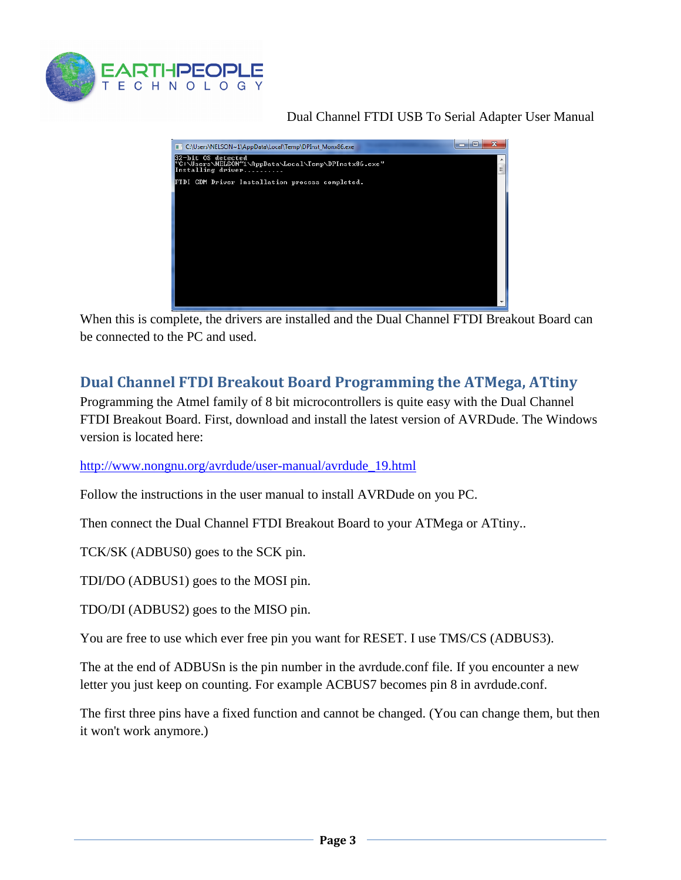



When this is complete, the drivers are installed and the Dual Channel FTDI Breakout Board can be connected to the PC and used.

## **Dual Channel FTDI Breakout Board Programming the ATMega, ATtiny**

Programming the Atmel family of 8 bit microcontrollers is quite easy with the Dual Channel FTDI Breakout Board. First, download and install the latest version of AVRDude. The Windows version is located here:

[http://www.nongnu.org/avrdude/user-manual/avrdude\\_19.html](http://www.nongnu.org/avrdude/user-manual/avrdude_19.html)

Follow the instructions in the user manual to install AVRDude on you PC.

Then connect the Dual Channel FTDI Breakout Board to your ATMega or ATtiny..

TCK/SK (ADBUS0) goes to the SCK pin.

TDI/DO (ADBUS1) goes to the MOSI pin.

TDO/DI (ADBUS2) goes to the MISO pin.

You are free to use which ever free pin you want for RESET. I use TMS/CS (ADBUS3).

The at the end of ADBUSn is the pin number in the avrdude.conf file. If you encounter a new letter you just keep on counting. For example ACBUS7 becomes pin 8 in avrdude.conf.

The first three pins have a fixed function and cannot be changed. (You can change them, but then it won't work anymore.)